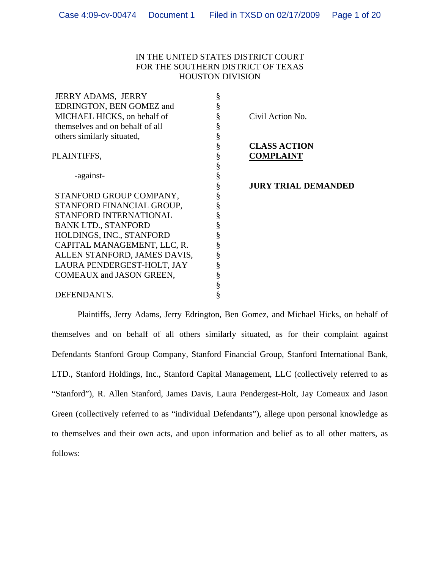## IN THE UNITED STATES DISTRICT COURT FOR THE SOUTHERN DISTRICT OF TEXAS HOUSTON DIVISION

| <b>JERRY ADAMS, JERRY</b>       | § |                            |
|---------------------------------|---|----------------------------|
| EDRINGTON, BEN GOMEZ and        | § |                            |
| MICHAEL HICKS, on behalf of     | § | Civil Action No.           |
| themselves and on behalf of all | § |                            |
| others similarly situated,      | § |                            |
|                                 | § | <b>CLASS ACTION</b>        |
| PLAINTIFFS,                     | § | <b>COMPLAINT</b>           |
|                                 | § |                            |
| -against-                       | § |                            |
|                                 | § | <b>JURY TRIAL DEMANDED</b> |
| STANFORD GROUP COMPANY,         | § |                            |
| STANFORD FINANCIAL GROUP,       | § |                            |
| STANFORD INTERNATIONAL          | § |                            |
| <b>BANK LTD., STANFORD</b>      | § |                            |
| HOLDINGS, INC., STANFORD        | § |                            |
| CAPITAL MANAGEMENT, LLC, R.     | § |                            |
| ALLEN STANFORD, JAMES DAVIS,    | § |                            |
| LAURA PENDERGEST-HOLT, JAY      | § |                            |
| COMEAUX and JASON GREEN,        | § |                            |
|                                 | § |                            |
| DEFENDANTS.                     | § |                            |

Plaintiffs, Jerry Adams, Jerry Edrington, Ben Gomez, and Michael Hicks, on behalf of themselves and on behalf of all others similarly situated, as for their complaint against Defendants Stanford Group Company, Stanford Financial Group, Stanford International Bank, LTD., Stanford Holdings, Inc., Stanford Capital Management, LLC (collectively referred to as "Stanford"), R. Allen Stanford, James Davis, Laura Pendergest-Holt, Jay Comeaux and Jason Green (collectively referred to as "individual Defendants"), allege upon personal knowledge as to themselves and their own acts, and upon information and belief as to all other matters, as follows: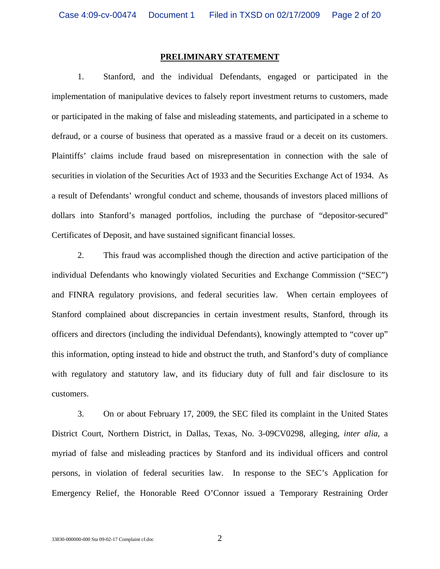#### **PRELIMINARY STATEMENT**

1. Stanford, and the individual Defendants, engaged or participated in the implementation of manipulative devices to falsely report investment returns to customers, made or participated in the making of false and misleading statements, and participated in a scheme to defraud, or a course of business that operated as a massive fraud or a deceit on its customers. Plaintiffs' claims include fraud based on misrepresentation in connection with the sale of securities in violation of the Securities Act of 1933 and the Securities Exchange Act of 1934. As a result of Defendants' wrongful conduct and scheme, thousands of investors placed millions of dollars into Stanford's managed portfolios, including the purchase of "depositor-secured" Certificates of Deposit, and have sustained significant financial losses.

2. This fraud was accomplished though the direction and active participation of the individual Defendants who knowingly violated Securities and Exchange Commission ("SEC") and FINRA regulatory provisions, and federal securities law. When certain employees of Stanford complained about discrepancies in certain investment results, Stanford, through its officers and directors (including the individual Defendants), knowingly attempted to "cover up" this information, opting instead to hide and obstruct the truth, and Stanford's duty of compliance with regulatory and statutory law, and its fiduciary duty of full and fair disclosure to its customers.

3. On or about February 17, 2009, the SEC filed its complaint in the United States District Court, Northern District, in Dallas, Texas, No. 3-09CV0298, alleging, *inter alia*, a myriad of false and misleading practices by Stanford and its individual officers and control persons, in violation of federal securities law. In response to the SEC's Application for Emergency Relief, the Honorable Reed O'Connor issued a Temporary Restraining Order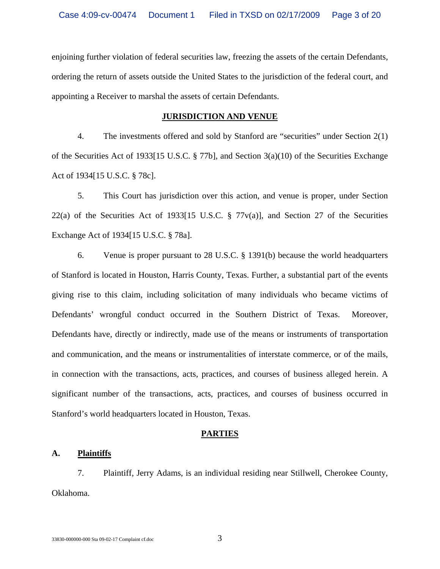enjoining further violation of federal securities law, freezing the assets of the certain Defendants, ordering the return of assets outside the United States to the jurisdiction of the federal court, and appointing a Receiver to marshal the assets of certain Defendants.

## **JURISDICTION AND VENUE**

4. The investments offered and sold by Stanford are "securities" under Section 2(1) of the Securities Act of 1933[15 U.S.C. § 77b], and Section 3(a)(10) of the Securities Exchange Act of 1934[15 U.S.C. § 78c].

5. This Court has jurisdiction over this action, and venue is proper, under Section 22(a) of the Securities Act of 1933[15 U.S.C.  $\S$  77 $v(a)$ ], and Section 27 of the Securities Exchange Act of 1934[15 U.S.C. § 78a].

6. Venue is proper pursuant to 28 U.S.C. § 1391(b) because the world headquarters of Stanford is located in Houston, Harris County, Texas. Further, a substantial part of the events giving rise to this claim, including solicitation of many individuals who became victims of Defendants' wrongful conduct occurred in the Southern District of Texas. Moreover, Defendants have, directly or indirectly, made use of the means or instruments of transportation and communication, and the means or instrumentalities of interstate commerce, or of the mails, in connection with the transactions, acts, practices, and courses of business alleged herein. A significant number of the transactions, acts, practices, and courses of business occurred in Stanford's world headquarters located in Houston, Texas.

## **PARTIES**

## **A. Plaintiffs**

7. Plaintiff, Jerry Adams, is an individual residing near Stillwell, Cherokee County, Oklahoma.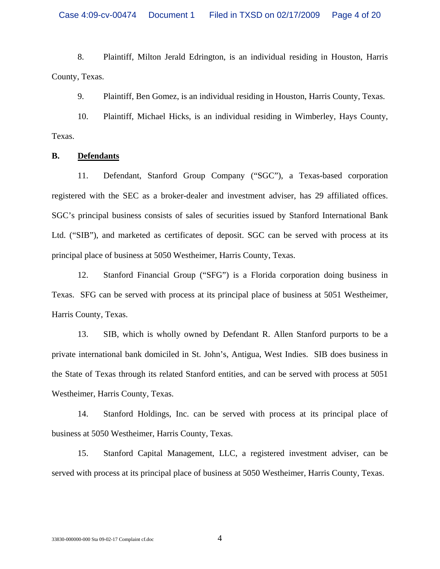8. Plaintiff, Milton Jerald Edrington, is an individual residing in Houston, Harris County, Texas.

9. Plaintiff, Ben Gomez, is an individual residing in Houston, Harris County, Texas.

10. Plaintiff, Michael Hicks, is an individual residing in Wimberley, Hays County, Texas.

#### **B. Defendants**

11. Defendant, Stanford Group Company ("SGC"), a Texas-based corporation registered with the SEC as a broker-dealer and investment adviser, has 29 affiliated offices. SGC's principal business consists of sales of securities issued by Stanford International Bank Ltd. ("SIB"), and marketed as certificates of deposit. SGC can be served with process at its principal place of business at 5050 Westheimer, Harris County, Texas.

12. Stanford Financial Group ("SFG") is a Florida corporation doing business in Texas. SFG can be served with process at its principal place of business at 5051 Westheimer, Harris County, Texas.

13. SIB, which is wholly owned by Defendant R. Allen Stanford purports to be a private international bank domiciled in St. John's, Antigua, West Indies. SIB does business in the State of Texas through its related Stanford entities, and can be served with process at 5051 Westheimer, Harris County, Texas.

14. Stanford Holdings, Inc. can be served with process at its principal place of business at 5050 Westheimer, Harris County, Texas.

15. Stanford Capital Management, LLC, a registered investment adviser, can be served with process at its principal place of business at 5050 Westheimer, Harris County, Texas.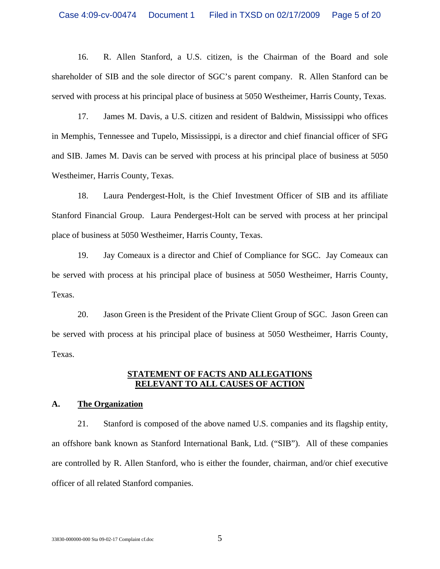16. R. Allen Stanford, a U.S. citizen, is the Chairman of the Board and sole shareholder of SIB and the sole director of SGC's parent company. R. Allen Stanford can be served with process at his principal place of business at 5050 Westheimer, Harris County, Texas.

17. James M. Davis, a U.S. citizen and resident of Baldwin, Mississippi who offices in Memphis, Tennessee and Tupelo, Mississippi, is a director and chief financial officer of SFG and SIB. James M. Davis can be served with process at his principal place of business at 5050 Westheimer, Harris County, Texas.

18. Laura Pendergest-Holt, is the Chief Investment Officer of SIB and its affiliate Stanford Financial Group. Laura Pendergest-Holt can be served with process at her principal place of business at 5050 Westheimer, Harris County, Texas.

19. Jay Comeaux is a director and Chief of Compliance for SGC. Jay Comeaux can be served with process at his principal place of business at 5050 Westheimer, Harris County, Texas.

20. Jason Green is the President of the Private Client Group of SGC. Jason Green can be served with process at his principal place of business at 5050 Westheimer, Harris County, Texas.

## **STATEMENT OF FACTS AND ALLEGATIONS RELEVANT TO ALL CAUSES OF ACTION**

#### **A. The Organization**

21. Stanford is composed of the above named U.S. companies and its flagship entity, an offshore bank known as Stanford International Bank, Ltd. ("SIB"). All of these companies are controlled by R. Allen Stanford, who is either the founder, chairman, and/or chief executive officer of all related Stanford companies.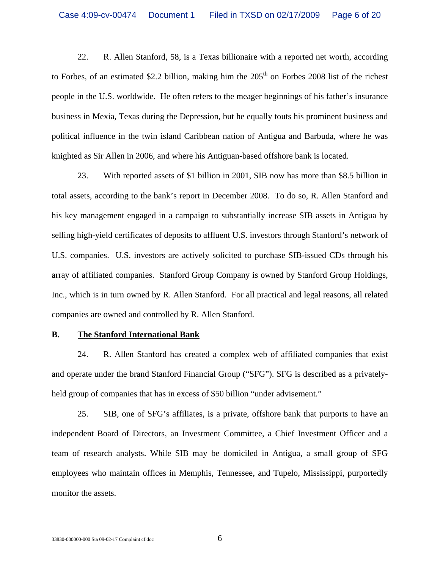22. R. Allen Stanford, 58, is a Texas billionaire with a reported net worth, according to Forbes, of an estimated \$2.2 billion, making him the  $205<sup>th</sup>$  on Forbes 2008 list of the richest people in the U.S. worldwide. He often refers to the meager beginnings of his father's insurance business in Mexia, Texas during the Depression, but he equally touts his prominent business and political influence in the twin island Caribbean nation of Antigua and Barbuda, where he was knighted as Sir Allen in 2006, and where his Antiguan-based offshore bank is located.

23. With reported assets of \$1 billion in 2001, SIB now has more than \$8.5 billion in total assets, according to the bank's report in December 2008. To do so, R. Allen Stanford and his key management engaged in a campaign to substantially increase SIB assets in Antigua by selling high-yield certificates of deposits to affluent U.S. investors through Stanford's network of U.S. companies. U.S. investors are actively solicited to purchase SIB-issued CDs through his array of affiliated companies. Stanford Group Company is owned by Stanford Group Holdings, Inc., which is in turn owned by R. Allen Stanford. For all practical and legal reasons, all related companies are owned and controlled by R. Allen Stanford.

#### **B. The Stanford International Bank**

24. R. Allen Stanford has created a complex web of affiliated companies that exist and operate under the brand Stanford Financial Group ("SFG"). SFG is described as a privatelyheld group of companies that has in excess of \$50 billion "under advisement."

25. SIB, one of SFG's affiliates, is a private, offshore bank that purports to have an independent Board of Directors, an Investment Committee, a Chief Investment Officer and a team of research analysts. While SIB may be domiciled in Antigua, a small group of SFG employees who maintain offices in Memphis, Tennessee, and Tupelo, Mississippi, purportedly monitor the assets.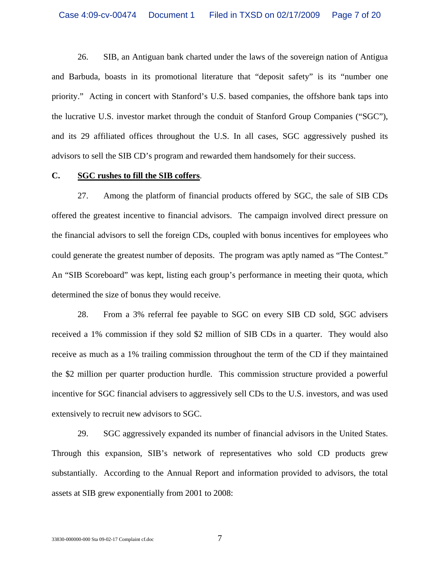26. SIB, an Antiguan bank charted under the laws of the sovereign nation of Antigua and Barbuda, boasts in its promotional literature that "deposit safety" is its "number one priority." Acting in concert with Stanford's U.S. based companies, the offshore bank taps into the lucrative U.S. investor market through the conduit of Stanford Group Companies ("SGC"), and its 29 affiliated offices throughout the U.S. In all cases, SGC aggressively pushed its advisors to sell the SIB CD's program and rewarded them handsomely for their success.

#### **C. SGC rushes to fill the SIB coffers**.

27. Among the platform of financial products offered by SGC, the sale of SIB CDs offered the greatest incentive to financial advisors. The campaign involved direct pressure on the financial advisors to sell the foreign CDs, coupled with bonus incentives for employees who could generate the greatest number of deposits. The program was aptly named as "The Contest." An "SIB Scoreboard" was kept, listing each group's performance in meeting their quota, which determined the size of bonus they would receive.

28. From a 3% referral fee payable to SGC on every SIB CD sold, SGC advisers received a 1% commission if they sold \$2 million of SIB CDs in a quarter. They would also receive as much as a 1% trailing commission throughout the term of the CD if they maintained the \$2 million per quarter production hurdle. This commission structure provided a powerful incentive for SGC financial advisers to aggressively sell CDs to the U.S. investors, and was used extensively to recruit new advisors to SGC.

29. SGC aggressively expanded its number of financial advisors in the United States. Through this expansion, SIB's network of representatives who sold CD products grew substantially. According to the Annual Report and information provided to advisors, the total assets at SIB grew exponentially from 2001 to 2008: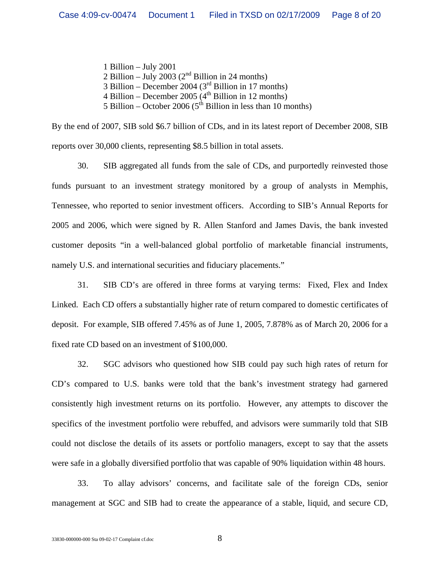1 Billion – July 2001 2 Billion – July 2003 ( $2<sup>nd</sup>$  Billion in 24 months) 3 Billion – December 2004 ( $3<sup>rd</sup>$  Billion in 17 months) 4 Billion – December 2005  $(4<sup>th</sup>$  Billion in 12 months) 5 Billion – October 2006 ( $5<sup>th</sup>$  Billion in less than 10 months)

By the end of 2007, SIB sold \$6.7 billion of CDs, and in its latest report of December 2008, SIB reports over 30,000 clients, representing \$8.5 billion in total assets.

30. SIB aggregated all funds from the sale of CDs, and purportedly reinvested those funds pursuant to an investment strategy monitored by a group of analysts in Memphis, Tennessee, who reported to senior investment officers. According to SIB's Annual Reports for 2005 and 2006, which were signed by R. Allen Stanford and James Davis, the bank invested customer deposits "in a well-balanced global portfolio of marketable financial instruments, namely U.S. and international securities and fiduciary placements."

31. SIB CD's are offered in three forms at varying terms: Fixed, Flex and Index Linked. Each CD offers a substantially higher rate of return compared to domestic certificates of deposit. For example, SIB offered 7.45% as of June 1, 2005, 7.878% as of March 20, 2006 for a fixed rate CD based on an investment of \$100,000.

32. SGC advisors who questioned how SIB could pay such high rates of return for CD's compared to U.S. banks were told that the bank's investment strategy had garnered consistently high investment returns on its portfolio. However, any attempts to discover the specifics of the investment portfolio were rebuffed, and advisors were summarily told that SIB could not disclose the details of its assets or portfolio managers, except to say that the assets were safe in a globally diversified portfolio that was capable of 90% liquidation within 48 hours.

33. To allay advisors' concerns, and facilitate sale of the foreign CDs, senior management at SGC and SIB had to create the appearance of a stable, liquid, and secure CD,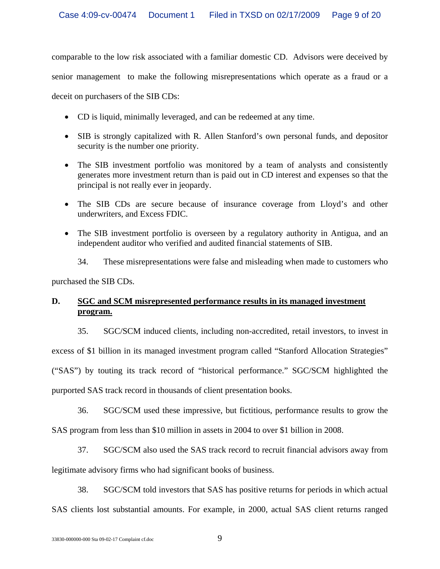comparable to the low risk associated with a familiar domestic CD. Advisors were deceived by senior management to make the following misrepresentations which operate as a fraud or a deceit on purchasers of the SIB CDs:

- CD is liquid, minimally leveraged, and can be redeemed at any time.
- SIB is strongly capitalized with R. Allen Stanford's own personal funds, and depositor security is the number one priority.
- The SIB investment portfolio was monitored by a team of analysts and consistently generates more investment return than is paid out in CD interest and expenses so that the principal is not really ever in jeopardy.
- The SIB CDs are secure because of insurance coverage from Lloyd's and other underwriters, and Excess FDIC.
- The SIB investment portfolio is overseen by a regulatory authority in Antigua, and an independent auditor who verified and audited financial statements of SIB.

34. These misrepresentations were false and misleading when made to customers who

purchased the SIB CDs.

# **D. SGC and SCM misrepresented performance results in its managed investment program.**

35. SGC/SCM induced clients, including non-accredited, retail investors, to invest in excess of \$1 billion in its managed investment program called "Stanford Allocation Strategies" ("SAS") by touting its track record of "historical performance." SGC/SCM highlighted the purported SAS track record in thousands of client presentation books.

36. SGC/SCM used these impressive, but fictitious, performance results to grow the SAS program from less than \$10 million in assets in 2004 to over \$1 billion in 2008.

37. SGC/SCM also used the SAS track record to recruit financial advisors away from legitimate advisory firms who had significant books of business.

38. SGC/SCM told investors that SAS has positive returns for periods in which actual SAS clients lost substantial amounts. For example, in 2000, actual SAS client returns ranged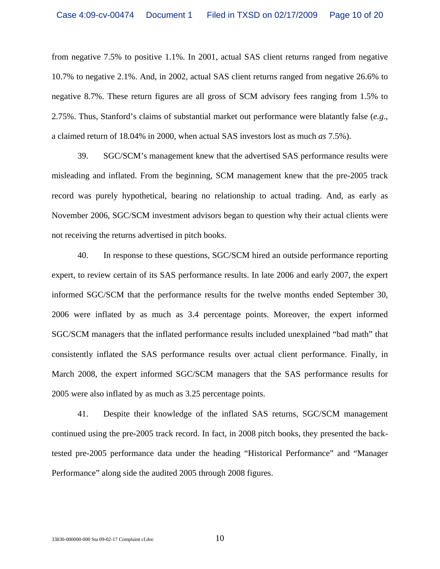from negative 7.5% to positive 1.1%. In 2001, actual SAS client returns ranged from negative 10.7% to negative 2.1%. And, in 2002, actual SAS client returns ranged from negative 26.6% to negative 8.7%. These return figures are all gross of SCM advisory fees ranging from 1.5% to 2.75%. Thus, Stanford's claims of substantial market out performance were blatantly false (*e.g*., a claimed return of 18.04% in 2000, when actual SAS investors lost as much *as* 7.5%).

39. SGC/SCM's management knew that the advertised SAS performance results were misleading and inflated. From the beginning, SCM management knew that the pre-2005 track record was purely hypothetical, bearing no relationship to actual trading. And, as early as November 2006, SGC/SCM investment advisors began to question why their actual clients were not receiving the returns advertised in pitch books.

40. In response to these questions, SGC/SCM hired an outside performance reporting expert, to review certain of its SAS performance results. In late 2006 and early 2007, the expert informed SGC/SCM that the performance results for the twelve months ended September 30, 2006 were inflated by as much as 3.4 percentage points. Moreover, the expert informed SGC/SCM managers that the inflated performance results included unexplained "bad math" that consistently inflated the SAS performance results over actual client performance. Finally, in March 2008, the expert informed SGC/SCM managers that the SAS performance results for 2005 were also inflated by as much as 3.25 percentage points.

41. Despite their knowledge of the inflated SAS returns, SGC/SCM management continued using the pre-2005 track record. In fact, in 2008 pitch books, they presented the backtested pre-2005 performance data under the heading "Historical Performance" and "Manager Performance" along side the audited 2005 through 2008 figures.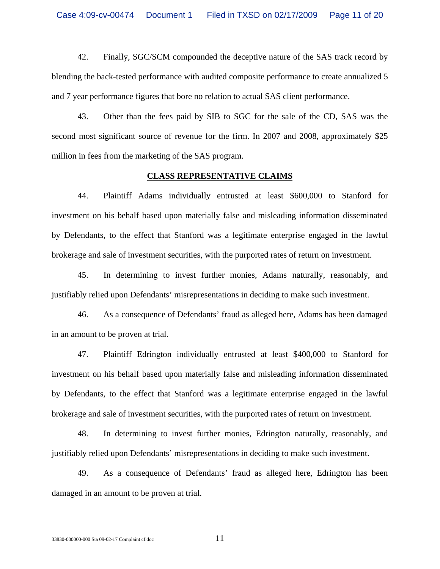42. Finally, SGC/SCM compounded the deceptive nature of the SAS track record by blending the back-tested performance with audited composite performance to create annualized 5 and 7 year performance figures that bore no relation to actual SAS client performance.

43. Other than the fees paid by SIB to SGC for the sale of the CD, SAS was the second most significant source of revenue for the firm. In 2007 and 2008, approximately \$25 million in fees from the marketing of the SAS program.

#### **CLASS REPRESENTATIVE CLAIMS**

44. Plaintiff Adams individually entrusted at least \$600,000 to Stanford for investment on his behalf based upon materially false and misleading information disseminated by Defendants, to the effect that Stanford was a legitimate enterprise engaged in the lawful brokerage and sale of investment securities, with the purported rates of return on investment.

45. In determining to invest further monies, Adams naturally, reasonably, and justifiably relied upon Defendants' misrepresentations in deciding to make such investment.

46. As a consequence of Defendants' fraud as alleged here, Adams has been damaged in an amount to be proven at trial.

47. Plaintiff Edrington individually entrusted at least \$400,000 to Stanford for investment on his behalf based upon materially false and misleading information disseminated by Defendants, to the effect that Stanford was a legitimate enterprise engaged in the lawful brokerage and sale of investment securities, with the purported rates of return on investment.

48. In determining to invest further monies, Edrington naturally, reasonably, and justifiably relied upon Defendants' misrepresentations in deciding to make such investment.

49. As a consequence of Defendants' fraud as alleged here, Edrington has been damaged in an amount to be proven at trial.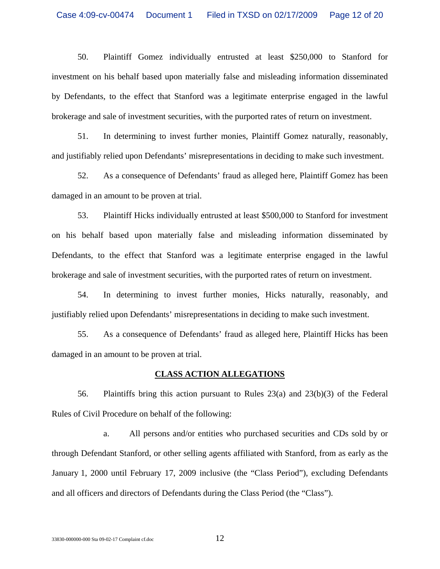50. Plaintiff Gomez individually entrusted at least \$250,000 to Stanford for investment on his behalf based upon materially false and misleading information disseminated by Defendants, to the effect that Stanford was a legitimate enterprise engaged in the lawful brokerage and sale of investment securities, with the purported rates of return on investment.

51. In determining to invest further monies, Plaintiff Gomez naturally, reasonably, and justifiably relied upon Defendants' misrepresentations in deciding to make such investment.

52. As a consequence of Defendants' fraud as alleged here, Plaintiff Gomez has been damaged in an amount to be proven at trial.

53. Plaintiff Hicks individually entrusted at least \$500,000 to Stanford for investment on his behalf based upon materially false and misleading information disseminated by Defendants, to the effect that Stanford was a legitimate enterprise engaged in the lawful brokerage and sale of investment securities, with the purported rates of return on investment.

54. In determining to invest further monies, Hicks naturally, reasonably, and justifiably relied upon Defendants' misrepresentations in deciding to make such investment.

55. As a consequence of Defendants' fraud as alleged here, Plaintiff Hicks has been damaged in an amount to be proven at trial.

#### **CLASS ACTION ALLEGATIONS**

56. Plaintiffs bring this action pursuant to Rules 23(a) and 23(b)(3) of the Federal Rules of Civil Procedure on behalf of the following:

a. All persons and/or entities who purchased securities and CDs sold by or through Defendant Stanford, or other selling agents affiliated with Stanford, from as early as the January 1, 2000 until February 17, 2009 inclusive (the "Class Period"), excluding Defendants and all officers and directors of Defendants during the Class Period (the "Class").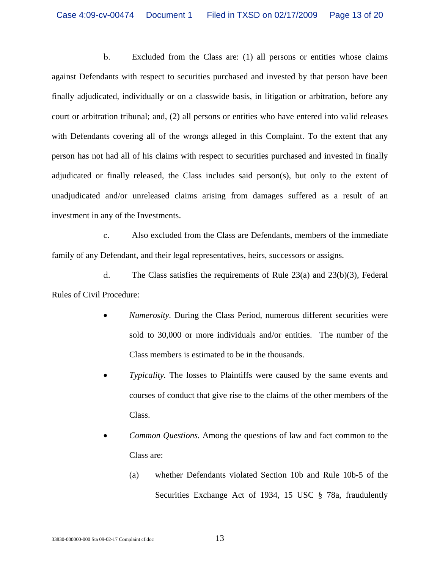b. Excluded from the Class are: (1) all persons or entities whose claims against Defendants with respect to securities purchased and invested by that person have been finally adjudicated, individually or on a classwide basis, in litigation or arbitration, before any court or arbitration tribunal; and, (2) all persons or entities who have entered into valid releases with Defendants covering all of the wrongs alleged in this Complaint. To the extent that any person has not had all of his claims with respect to securities purchased and invested in finally adjudicated or finally released, the Class includes said person(s), but only to the extent of unadjudicated and/or unreleased claims arising from damages suffered as a result of an investment in any of the Investments.

c. Also excluded from the Class are Defendants, members of the immediate family of any Defendant, and their legal representatives, heirs, successors or assigns.

d. The Class satisfies the requirements of Rule  $23(a)$  and  $23(b)(3)$ , Federal Rules of Civil Procedure:

- *Numerosity.* During the Class Period, numerous different securities were sold to 30,000 or more individuals and/or entities. The number of the Class members is estimated to be in the thousands.
- *Typicality.* The losses to Plaintiffs were caused by the same events and courses of conduct that give rise to the claims of the other members of the Class.
- *Common Questions.* Among the questions of law and fact common to the Class are:
	- (a) whether Defendants violated Section 10b and Rule 10b-5 of the Securities Exchange Act of 1934, 15 USC § 78a, fraudulently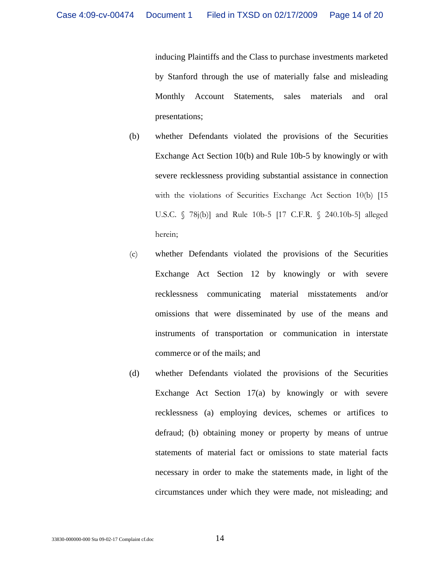inducing Plaintiffs and the Class to purchase investments marketed by Stanford through the use of materially false and misleading Monthly Account Statements, sales materials and oral presentations;

- (b) whether Defendants violated the provisions of the Securities Exchange Act Section 10(b) and Rule 10b-5 by knowingly or with severe recklessness providing substantial assistance in connection with the violations of Securities Exchange Act Section 10(b) [15 U.S.C. § 78j(b)] and Rule 10b-5 [17 C.F.R. § 240.10b-5] alleged herein;
- (c) whether Defendants violated the provisions of the Securities Exchange Act Section 12 by knowingly or with severe recklessness communicating material misstatements and/or omissions that were disseminated by use of the means and instruments of transportation or communication in interstate commerce or of the mails; and
- (d) whether Defendants violated the provisions of the Securities Exchange Act Section 17(a) by knowingly or with severe recklessness (a) employing devices, schemes or artifices to defraud; (b) obtaining money or property by means of untrue statements of material fact or omissions to state material facts necessary in order to make the statements made, in light of the circumstances under which they were made, not misleading; and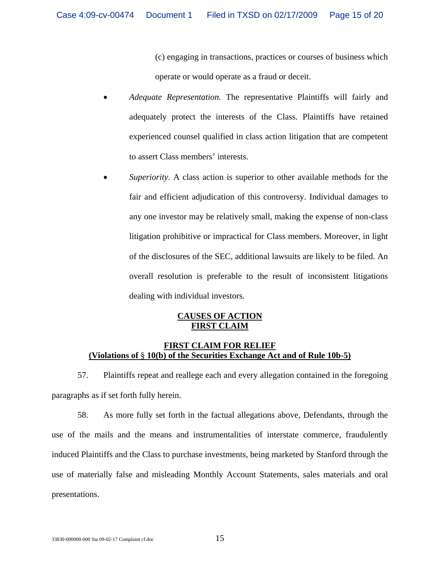(c) engaging in transactions, practices or courses of business which operate or would operate as a fraud or deceit.

- *Adequate Representation.* The representative Plaintiffs will fairly and adequately protect the interests of the Class. Plaintiffs have retained experienced counsel qualified in class action litigation that are competent to assert Class members' interests.
- *Superiority.* A class action is superior to other available methods for the fair and efficient adjudication of this controversy. Individual damages to any one investor may be relatively small, making the expense of non-class litigation prohibitive or impractical for Class members. Moreover, in light of the disclosures of the SEC, additional lawsuits are likely to be filed. An overall resolution is preferable to the result of inconsistent litigations dealing with individual investors.

## **CAUSES OF ACTION FIRST CLAIM**

## **FIRST CLAIM FOR RELIEF (Violations of** § **10(b) of the Securities Exchange Act and of Rule 10b-5)**

57. Plaintiffs repeat and reallege each and every allegation contained in the foregoing paragraphs as if set forth fully herein.

58. As more fully set forth in the factual allegations above, Defendants, through the use of the mails and the means and instrumentalities of interstate commerce, fraudulently induced Plaintiffs and the Class to purchase investments, being marketed by Stanford through the use of materially false and misleading Monthly Account Statements, sales materials and oral presentations.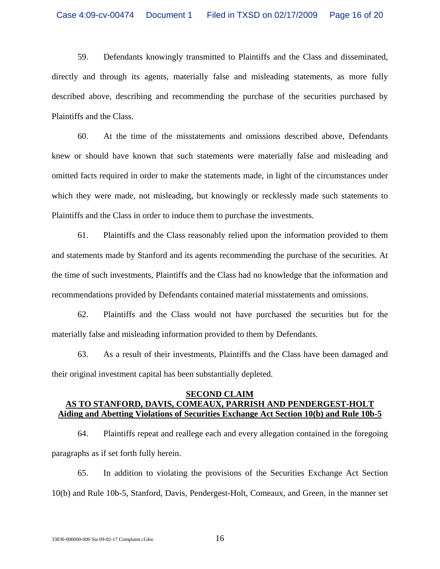59. Defendants knowingly transmitted to Plaintiffs and the Class and disseminated, directly and through its agents, materially false and misleading statements, as more fully described above, describing and recommending the purchase of the securities purchased by Plaintiffs and the Class.

60. At the time of the misstatements and omissions described above, Defendants knew or should have known that such statements were materially false and misleading and omitted facts required in order to make the statements made, in light of the circumstances under which they were made, not misleading, but knowingly or recklessly made such statements to Plaintiffs and the Class in order to induce them to purchase the investments.

61. Plaintiffs and the Class reasonably relied upon the information provided to them and statements made by Stanford and its agents recommending the purchase of the securities. At the time of such investments, Plaintiffs and the Class had no knowledge that the information and recommendations provided by Defendants contained material misstatements and omissions.

62. Plaintiffs and the Class would not have purchased the securities but for the materially false and misleading information provided to them by Defendants.

63. As a result of their investments, Plaintiffs and the Class have been damaged and their original investment capital has been substantially depleted.

## **SECOND CLAIM AS TO STANFORD, DAVIS, COMEAUX, PARRISH AND PENDERGEST-HOLT Aiding and Abetting Violations of Securities Exchange Act Section 10(b) and Rule 10b-5**

64. Plaintiffs repeat and reallege each and every allegation contained in the foregoing paragraphs as if set forth fully herein.

65. In addition to violating the provisions of the Securities Exchange Act Section 10(b) and Rule 10b-5, Stanford, Davis, Pendergest-Holt, Comeaux, and Green, in the manner set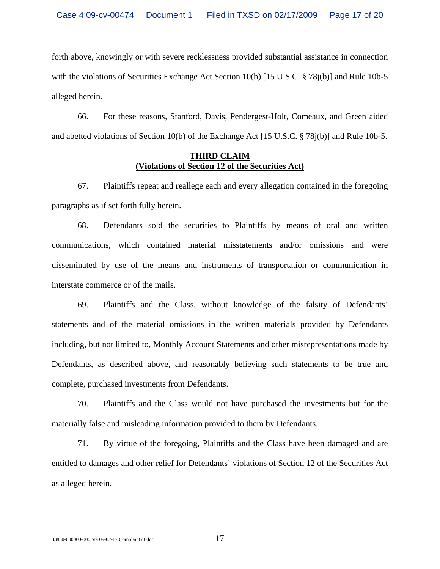forth above, knowingly or with severe recklessness provided substantial assistance in connection with the violations of Securities Exchange Act Section 10(b) [15 U.S.C. § 78 $j(b)$ ] and Rule 10b-5 alleged herein.

66. For these reasons, Stanford, Davis, Pendergest-Holt, Comeaux, and Green aided and abetted violations of Section 10(b) of the Exchange Act [15 U.S.C. § 78j(b)] and Rule 10b-5.

## **THIRD CLAIM (Violations of Section 12 of the Securities Act)**

67. Plaintiffs repeat and reallege each and every allegation contained in the foregoing paragraphs as if set forth fully herein.

68. Defendants sold the securities to Plaintiffs by means of oral and written communications, which contained material misstatements and/or omissions and were disseminated by use of the means and instruments of transportation or communication in interstate commerce or of the mails.

69. Plaintiffs and the Class, without knowledge of the falsity of Defendants' statements and of the material omissions in the written materials provided by Defendants including, but not limited to, Monthly Account Statements and other misrepresentations made by Defendants, as described above, and reasonably believing such statements to be true and complete, purchased investments from Defendants.

70. Plaintiffs and the Class would not have purchased the investments but for the materially false and misleading information provided to them by Defendants.

71. By virtue of the foregoing, Plaintiffs and the Class have been damaged and are entitled to damages and other relief for Defendants' violations of Section 12 of the Securities Act as alleged herein.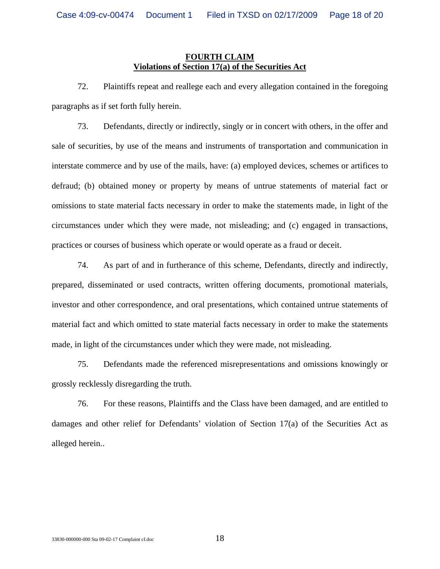## **FOURTH CLAIM Violations of Section 17(a) of the Securities Act**

72. Plaintiffs repeat and reallege each and every allegation contained in the foregoing paragraphs as if set forth fully herein.

73. Defendants, directly or indirectly, singly or in concert with others, in the offer and sale of securities, by use of the means and instruments of transportation and communication in interstate commerce and by use of the mails, have: (a) employed devices, schemes or artifices to defraud; (b) obtained money or property by means of untrue statements of material fact or omissions to state material facts necessary in order to make the statements made, in light of the circumstances under which they were made, not misleading; and (c) engaged in transactions, practices or courses of business which operate or would operate as a fraud or deceit.

74. As part of and in furtherance of this scheme, Defendants, directly and indirectly, prepared, disseminated or used contracts, written offering documents, promotional materials, investor and other correspondence, and oral presentations, which contained untrue statements of material fact and which omitted to state material facts necessary in order to make the statements made, in light of the circumstances under which they were made, not misleading.

75. Defendants made the referenced misrepresentations and omissions knowingly or grossly recklessly disregarding the truth.

76. For these reasons, Plaintiffs and the Class have been damaged, and are entitled to damages and other relief for Defendants' violation of Section 17(a) of the Securities Act as alleged herein..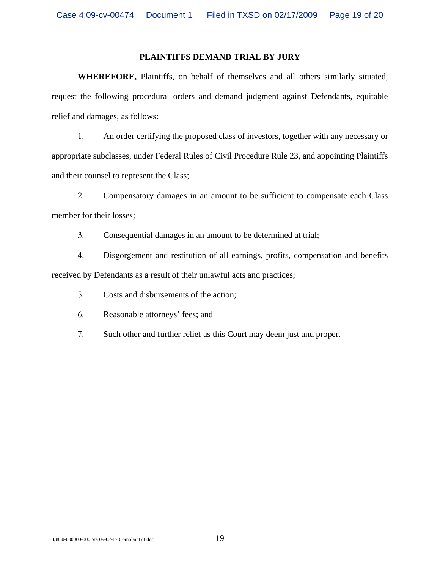## **PLAINTIFFS DEMAND TRIAL BY JURY**

**WHEREFORE,** Plaintiffs, on behalf of themselves and all others similarly situated, request the following procedural orders and demand judgment against Defendants, equitable relief and damages, as follows:

1. An order certifying the proposed class of investors, together with any necessary or appropriate subclasses, under Federal Rules of Civil Procedure Rule 23, and appointing Plaintiffs and their counsel to represent the Class;

2. Compensatory damages in an amount to be sufficient to compensate each Class member for their losses;

3. Consequential damages in an amount to be determined at trial;

4. Disgorgement and restitution of all earnings, profits, compensation and benefits received by Defendants as a result of their unlawful acts and practices;

5. Costs and disbursements of the action;

6. Reasonable attorneys' fees; and

7. Such other and further relief as this Court may deem just and proper.